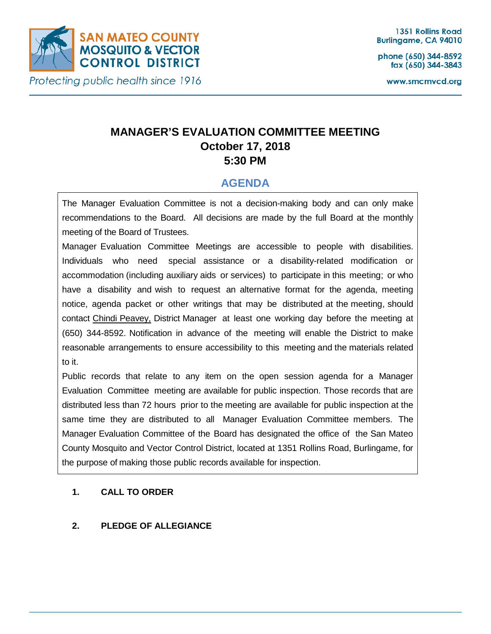

phone (650) 344-8592 fax (650) 344-3843

www.smcmvcd.org

# **MANAGER'S EVALUATION COMMITTEE MEETING October 17, 2018**

**5:30 PM**

# **AGENDA**

The Manager Evaluation Committee is not a decision-making body and can only make recommendations to the Board. All decisions are made by the full Board at the monthly meeting of the Board of Trustees.

Manager Evaluation Committee Meetings are accessible to people with disabilities. Individuals who need special assistance or a disability-related modification or accommodation (including auxiliary aids or services) to participate in this meeting; or who have a disability and wish to request an alternative format for the agenda, meeting notice, agenda packet or other writings that may be distributed at the meeting, should contact Chindi Peavey, District Manager at least one working day before the meeting at (650) 344-8592. Notification in advance of the meeting will enable the District to make reasonable arrangements to ensure accessibility to this meeting and the materials related to it.

Public records that relate to any item on the open session agenda for a Manager Evaluation Committee meeting are available for public inspection. Those records that are distributed less than 72 hours prior to the meeting are available for public inspection at the same time they are distributed to all Manager Evaluation Committee members. The Manager Evaluation Committee of the Board has designated the office of the San Mateo County Mosquito and Vector Control District, located at 1351 Rollins Road, Burlingame, for the purpose of making those public records available for inspection.

### **1. CALL TO ORDER**

# **2. PLEDGE OF ALLEGIANCE**